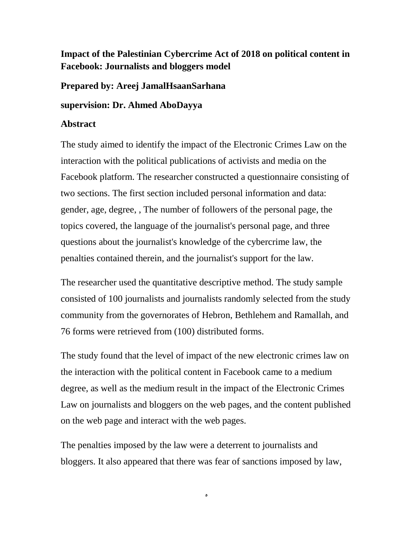## **Impact of the Palestinian Cybercrime Act of 2018 on political content in Facebook: Journalists and bloggers model**

**Prepared by: Areej JamalHsaanSarhana**

**supervision: Dr. Ahmed AboDayya**

## **Abstract**

The study aimed to identify the impact of the Electronic Crimes Law on the interaction with the political publications of activists and media on the Facebook platform. The researcher constructed a questionnaire consisting of two sections. The first section included personal information and data: gender, age, degree, , The number of followers of the personal page, the topics covered, the language of the journalist's personal page, and three questions about the journalist's knowledge of the cybercrime law, the penalties contained therein, and the journalist's support for the law.

The researcher used the quantitative descriptive method. The study sample consisted of 100 journalists and journalists randomly selected from the study community from the governorates of Hebron, Bethlehem and Ramallah, and 76 forms were retrieved from (100) distributed forms.

The study found that the level of impact of the new electronic crimes law on the interaction with the political content in Facebook came to a medium degree, as well as the medium result in the impact of the Electronic Crimes Law on journalists and bloggers on the web pages, and the content published on the web page and interact with the web pages.

The penalties imposed by the law were a deterrent to journalists and bloggers. It also appeared that there was fear of sanctions imposed by law,

ي